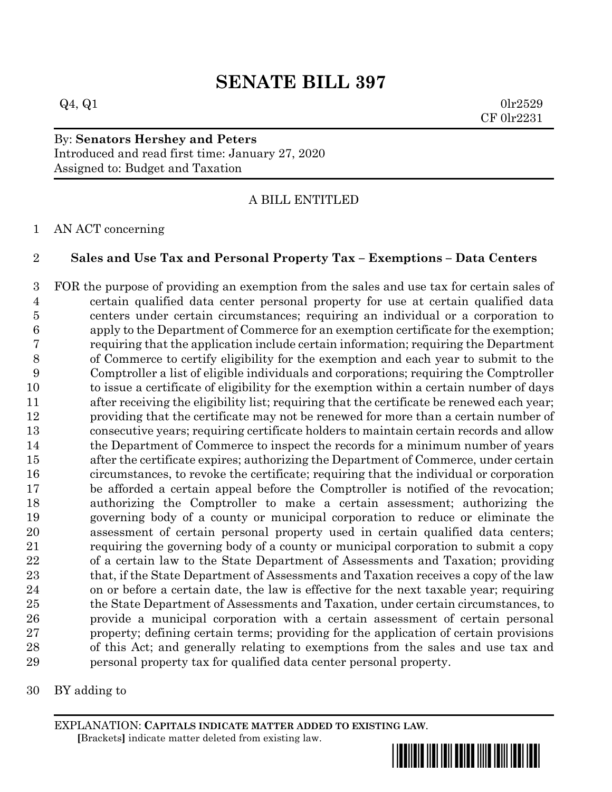## **SENATE BILL 397**

 $Q_4$ ,  $Q_1$  0lr2529 CF 0lr2231

## By: **Senators Hershey and Peters** Introduced and read first time: January 27, 2020 Assigned to: Budget and Taxation

A BILL ENTITLED

## AN ACT concerning

## **Sales and Use Tax and Personal Property Tax – Exemptions – Data Centers**

 FOR the purpose of providing an exemption from the sales and use tax for certain sales of certain qualified data center personal property for use at certain qualified data centers under certain circumstances; requiring an individual or a corporation to apply to the Department of Commerce for an exemption certificate for the exemption; requiring that the application include certain information; requiring the Department of Commerce to certify eligibility for the exemption and each year to submit to the Comptroller a list of eligible individuals and corporations; requiring the Comptroller to issue a certificate of eligibility for the exemption within a certain number of days after receiving the eligibility list; requiring that the certificate be renewed each year; providing that the certificate may not be renewed for more than a certain number of consecutive years; requiring certificate holders to maintain certain records and allow 14 the Department of Commerce to inspect the records for a minimum number of years after the certificate expires; authorizing the Department of Commerce, under certain circumstances, to revoke the certificate; requiring that the individual or corporation be afforded a certain appeal before the Comptroller is notified of the revocation; authorizing the Comptroller to make a certain assessment; authorizing the governing body of a county or municipal corporation to reduce or eliminate the assessment of certain personal property used in certain qualified data centers; requiring the governing body of a county or municipal corporation to submit a copy of a certain law to the State Department of Assessments and Taxation; providing 23 that, if the State Department of Assessments and Taxation receives a copy of the law on or before a certain date, the law is effective for the next taxable year; requiring the State Department of Assessments and Taxation, under certain circumstances, to provide a municipal corporation with a certain assessment of certain personal property; defining certain terms; providing for the application of certain provisions of this Act; and generally relating to exemptions from the sales and use tax and personal property tax for qualified data center personal property.

BY adding to

EXPLANATION: **CAPITALS INDICATE MATTER ADDED TO EXISTING LAW**.  **[**Brackets**]** indicate matter deleted from existing law.

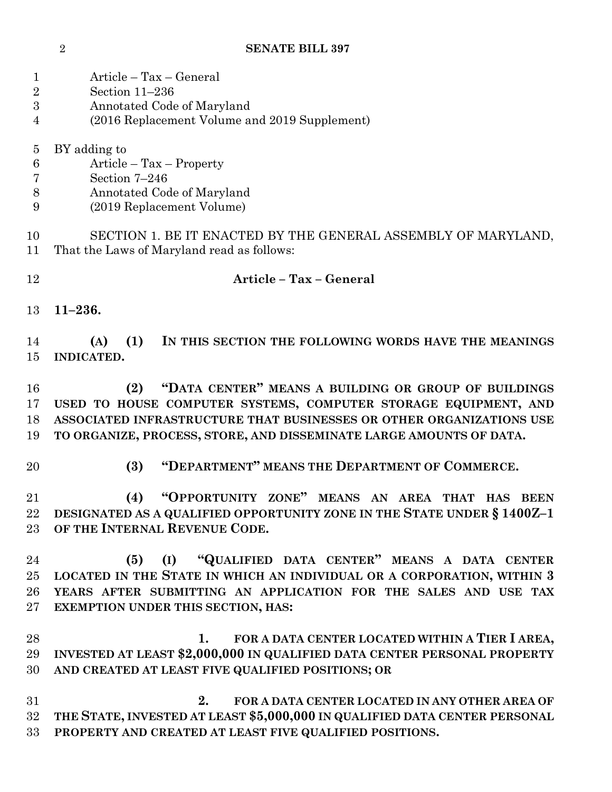| $\mathbf{1}$   | Article - Tax - General                                                                                     |
|----------------|-------------------------------------------------------------------------------------------------------------|
| $\overline{2}$ | Section 11-236                                                                                              |
| 3              | Annotated Code of Maryland                                                                                  |
| 4              | (2016 Replacement Volume and 2019 Supplement)                                                               |
| $\overline{5}$ | BY adding to                                                                                                |
| $\,6$          | $Article - Tax - Property$                                                                                  |
| 7              | Section 7-246                                                                                               |
| 8              | Annotated Code of Maryland                                                                                  |
| 9              | (2019 Replacement Volume)                                                                                   |
| 10<br>11       | SECTION 1. BE IT ENACTED BY THE GENERAL ASSEMBLY OF MARYLAND,<br>That the Laws of Maryland read as follows: |
| 12             | Article - Tax - General                                                                                     |
| 13             | $11 - 236.$                                                                                                 |
| 14             | (1)<br>IN THIS SECTION THE FOLLOWING WORDS HAVE THE MEANINGS<br>(A)                                         |
| 15             | INDICATED.                                                                                                  |
| 16             | "DATA CENTER" MEANS A BUILDING OR GROUP OF BUILDINGS<br>(2)                                                 |
| 17             | USED TO HOUSE COMPUTER SYSTEMS, COMPUTER STORAGE EQUIPMENT, AND                                             |
| 18             | ASSOCIATED INFRASTRUCTURE THAT BUSINESSES OR OTHER ORGANIZATIONS USE                                        |
| 19             | TO ORGANIZE, PROCESS, STORE, AND DISSEMINATE LARGE AMOUNTS OF DATA.                                         |
| 20             | "DEPARTMENT" MEANS THE DEPARTMENT OF COMMERCE.<br>(3)                                                       |
| 21             | "OPPORTUNITY ZONE" MEANS AN AREA THAT HAS BEEN<br>(4)                                                       |
| 22             | DESIGNATED AS A QUALIFIED OPPORTUNITY ZONE IN THE STATE UNDER § 1400Z-1                                     |
| 23             | OF THE INTERNAL REVENUE CODE.                                                                               |
| 24             | "QUALIFIED DATA CENTER" MEANS A DATA CENTER<br>(5)<br>(I)                                                   |
| 25             | LOCATED IN THE STATE IN WHICH AN INDIVIDUAL OR A CORPORATION, WITHIN 3                                      |
| 26             | YEARS AFTER SUBMITTING AN APPLICATION FOR THE SALES AND USE TAX                                             |
| $27\,$         | EXEMPTION UNDER THIS SECTION, HAS:                                                                          |
| 28             | FOR A DATA CENTER LOCATED WITHIN A TIER I AREA,<br>1.                                                       |
| 29             | INVESTED AT LEAST \$2,000,000 IN QUALIFIED DATA CENTER PERSONAL PROPERTY                                    |
| 30             | AND CREATED AT LEAST FIVE QUALIFIED POSITIONS; OR                                                           |
| 31             | 2.<br>FOR A DATA CENTER LOCATED IN ANY OTHER AREA OF                                                        |
| 32             | THE STATE, INVESTED AT LEAST \$5,000,000 IN QUALIFIED DATA CENTER PERSONAL                                  |
| 33             | PROPERTY AND CREATED AT LEAST FIVE QUALIFIED POSITIONS.                                                     |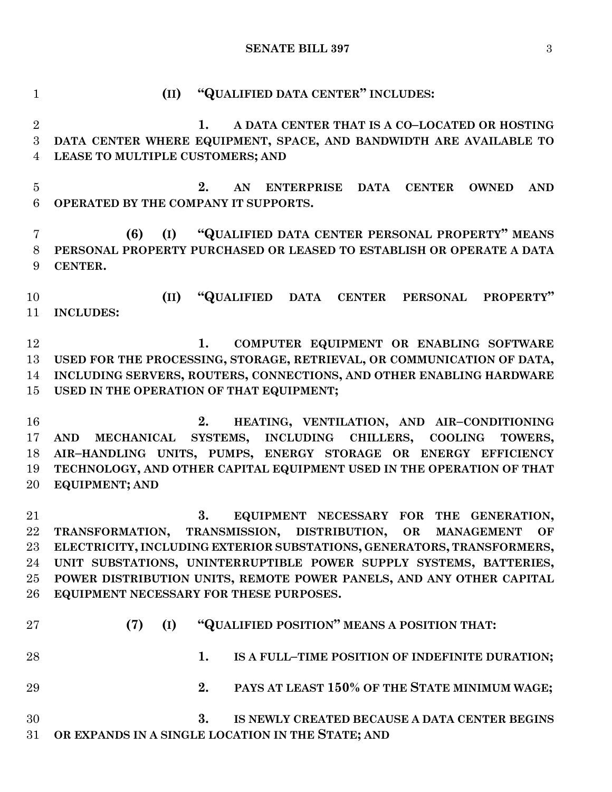**SENATE BILL 397** 3

 **(II) "QUALIFIED DATA CENTER" INCLUDES: 1. A DATA CENTER THAT IS A CO–LOCATED OR HOSTING DATA CENTER WHERE EQUIPMENT, SPACE, AND BANDWIDTH ARE AVAILABLE TO LEASE TO MULTIPLE CUSTOMERS; AND 2. AN ENTERPRISE DATA CENTER OWNED AND OPERATED BY THE COMPANY IT SUPPORTS. (6) (I) "QUALIFIED DATA CENTER PERSONAL PROPERTY" MEANS PERSONAL PROPERTY PURCHASED OR LEASED TO ESTABLISH OR OPERATE A DATA CENTER. (II) "QUALIFIED DATA CENTER PERSONAL PROPERTY" INCLUDES: 1. COMPUTER EQUIPMENT OR ENABLING SOFTWARE USED FOR THE PROCESSING, STORAGE, RETRIEVAL, OR COMMUNICATION OF DATA, INCLUDING SERVERS, ROUTERS, CONNECTIONS, AND OTHER ENABLING HARDWARE USED IN THE OPERATION OF THAT EQUIPMENT; 2. HEATING, VENTILATION, AND AIR–CONDITIONING AND MECHANICAL SYSTEMS, INCLUDING CHILLERS, COOLING TOWERS, AIR–HANDLING UNITS, PUMPS, ENERGY STORAGE OR ENERGY EFFICIENCY TECHNOLOGY, AND OTHER CAPITAL EQUIPMENT USED IN THE OPERATION OF THAT EQUIPMENT; AND 3. EQUIPMENT NECESSARY FOR THE GENERATION, TRANSFORMATION, TRANSMISSION, DISTRIBUTION, OR MANAGEMENT OF ELECTRICITY, INCLUDING EXTERIOR SUBSTATIONS, GENERATORS, TRANSFORMERS, UNIT SUBSTATIONS, UNINTERRUPTIBLE POWER SUPPLY SYSTEMS, BATTERIES, POWER DISTRIBUTION UNITS, REMOTE POWER PANELS, AND ANY OTHER CAPITAL EQUIPMENT NECESSARY FOR THESE PURPOSES. (7) (I) "QUALIFIED POSITION" MEANS A POSITION THAT: 1. IS A FULL–TIME POSITION OF INDEFINITE DURATION; 2. PAYS AT LEAST 150% OF THE STATE MINIMUM WAGE; 3. IS NEWLY CREATED BECAUSE A DATA CENTER BEGINS OR EXPANDS IN A SINGLE LOCATION IN THE STATE; AND**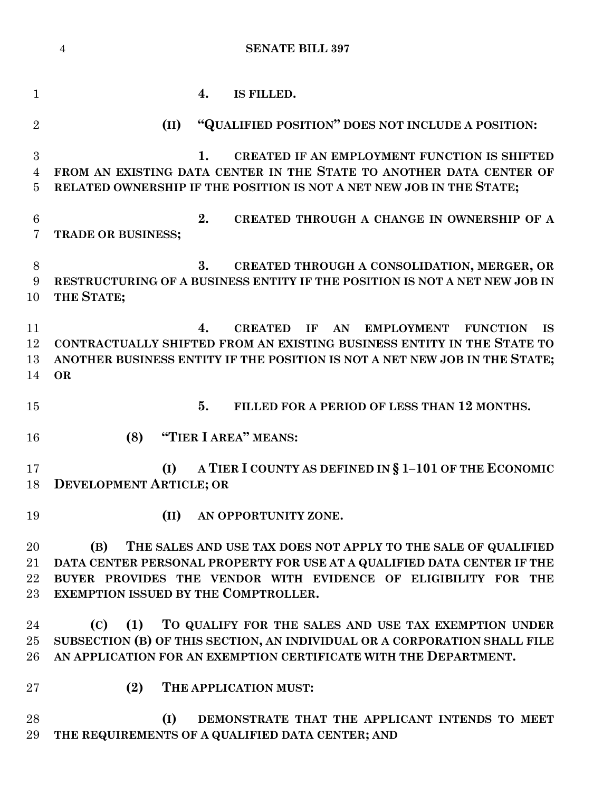|                 | <b>SENATE BILL 397</b><br>$\overline{4}$                                              |
|-----------------|---------------------------------------------------------------------------------------|
| $\mathbf{1}$    | IS FILLED.<br>4.                                                                      |
| $\overline{2}$  | "QUALIFIED POSITION" DOES NOT INCLUDE A POSITION:<br>(II)                             |
| 3               | 1.<br>CREATED IF AN EMPLOYMENT FUNCTION IS SHIFTED                                    |
| 4               | FROM AN EXISTING DATA CENTER IN THE STATE TO ANOTHER DATA CENTER OF                   |
| 5               | RELATED OWNERSHIP IF THE POSITION IS NOT A NET NEW JOB IN THE STATE;                  |
| $6\phantom{.}6$ | 2.<br>CREATED THROUGH A CHANGE IN OWNERSHIP OF A                                      |
| 7               | TRADE OR BUSINESS;                                                                    |
| 8               | 3.<br>CREATED THROUGH A CONSOLIDATION, MERGER, OR                                     |
| 9               | RESTRUCTURING OF A BUSINESS ENTITY IF THE POSITION IS NOT A NET NEW JOB IN            |
| 10              | THE STATE;                                                                            |
| 11              | <b>CREATED</b><br>IF<br>AN<br><b>EMPLOYMENT</b><br><b>FUNCTION</b><br>4.<br><b>IS</b> |
| 12              | CONTRACTUALLY SHIFTED FROM AN EXISTING BUSINESS ENTITY IN THE STATE TO                |
| 13              | ANOTHER BUSINESS ENTITY IF THE POSITION IS NOT A NET NEW JOB IN THE STATE;            |
| 14              | <b>OR</b>                                                                             |
| 15              | 5.<br>FILLED FOR A PERIOD OF LESS THAN 12 MONTHS.                                     |
| 16              | "TIER I AREA" MEANS:<br>(8)                                                           |
| 17              | A TIER I COUNTY AS DEFINED IN § 1-101 OF THE ECONOMIC<br>(I)                          |
| 18              | <b>DEVELOPMENT ARTICLE; OR</b>                                                        |
| 19              | (II)<br>AN OPPORTUNITY ZONE.                                                          |
| 20              | (B)<br>THE SALES AND USE TAX DOES NOT APPLY TO THE SALE OF QUALIFIED                  |
| 21              | DATA CENTER PERSONAL PROPERTY FOR USE AT A QUALIFIED DATA CENTER IF THE               |
| 22              | BUYER PROVIDES THE VENDOR WITH EVIDENCE OF ELIGIBILITY FOR THE                        |
| 23              | EXEMPTION ISSUED BY THE COMPTROLLER.                                                  |
| 24              | (C)<br>(1)<br>TO QUALIFY FOR THE SALES AND USE TAX EXEMPTION UNDER                    |
| 25              | SUBSECTION (B) OF THIS SECTION, AN INDIVIDUAL OR A CORPORATION SHALL FILE             |
| 26              | AN APPLICATION FOR AN EXEMPTION CERTIFICATE WITH THE DEPARTMENT.                      |
| $27\,$          | (2)<br>THE APPLICATION MUST:                                                          |
| 28              | (I)<br>DEMONSTRATE THAT THE APPLICANT INTENDS TO MEET                                 |
| 29              | THE REQUIREMENTS OF A QUALIFIED DATA CENTER; AND                                      |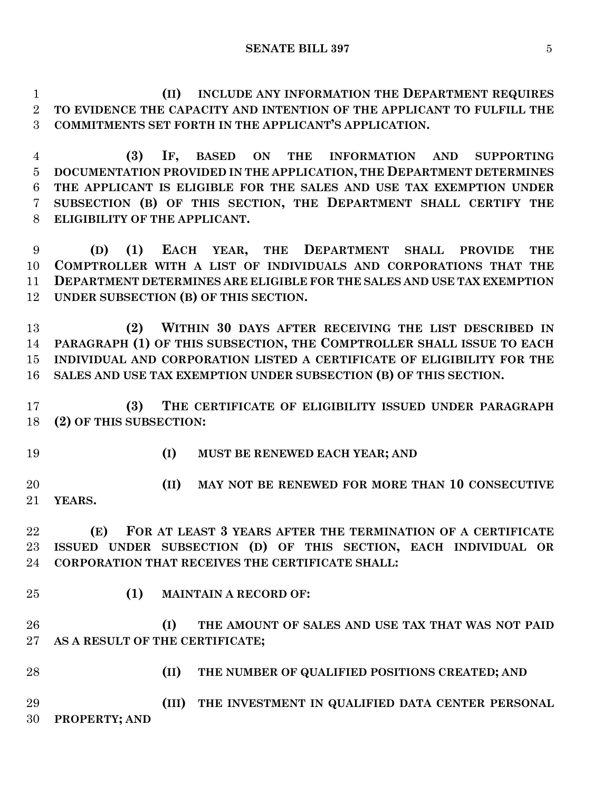**(II) INCLUDE ANY INFORMATION THE DEPARTMENT REQUIRES TO EVIDENCE THE CAPACITY AND INTENTION OF THE APPLICANT TO FULFILL THE COMMITMENTS SET FORTH IN THE APPLICANT'S APPLICATION.**

 **(3) IF, BASED ON THE INFORMATION AND SUPPORTING DOCUMENTATION PROVIDED IN THE APPLICATION, THE DEPARTMENT DETERMINES THE APPLICANT IS ELIGIBLE FOR THE SALES AND USE TAX EXEMPTION UNDER SUBSECTION (B) OF THIS SECTION, THE DEPARTMENT SHALL CERTIFY THE ELIGIBILITY OF THE APPLICANT.**

 **(D) (1) EACH YEAR, THE DEPARTMENT SHALL PROVIDE THE COMPTROLLER WITH A LIST OF INDIVIDUALS AND CORPORATIONS THAT THE DEPARTMENT DETERMINES ARE ELIGIBLE FOR THE SALES AND USE TAX EXEMPTION UNDER SUBSECTION (B) OF THIS SECTION.**

 **(2) WITHIN 30 DAYS AFTER RECEIVING THE LIST DESCRIBED IN PARAGRAPH (1) OF THIS SUBSECTION, THE COMPTROLLER SHALL ISSUE TO EACH INDIVIDUAL AND CORPORATION LISTED A CERTIFICATE OF ELIGIBILITY FOR THE SALES AND USE TAX EXEMPTION UNDER SUBSECTION (B) OF THIS SECTION.**

 **(3) THE CERTIFICATE OF ELIGIBILITY ISSUED UNDER PARAGRAPH (2) OF THIS SUBSECTION:**

- 
- **(I) MUST BE RENEWED EACH YEAR; AND**

 **(II) MAY NOT BE RENEWED FOR MORE THAN 10 CONSECUTIVE YEARS.**

 **(E) FOR AT LEAST 3 YEARS AFTER THE TERMINATION OF A CERTIFICATE ISSUED UNDER SUBSECTION (D) OF THIS SECTION, EACH INDIVIDUAL OR CORPORATION THAT RECEIVES THE CERTIFICATE SHALL:**

- 
- **(1) MAINTAIN A RECORD OF:**

 **(I) THE AMOUNT OF SALES AND USE TAX THAT WAS NOT PAID AS A RESULT OF THE CERTIFICATE;**

**(II) THE NUMBER OF QUALIFIED POSITIONS CREATED; AND**

 **(III) THE INVESTMENT IN QUALIFIED DATA CENTER PERSONAL PROPERTY; AND**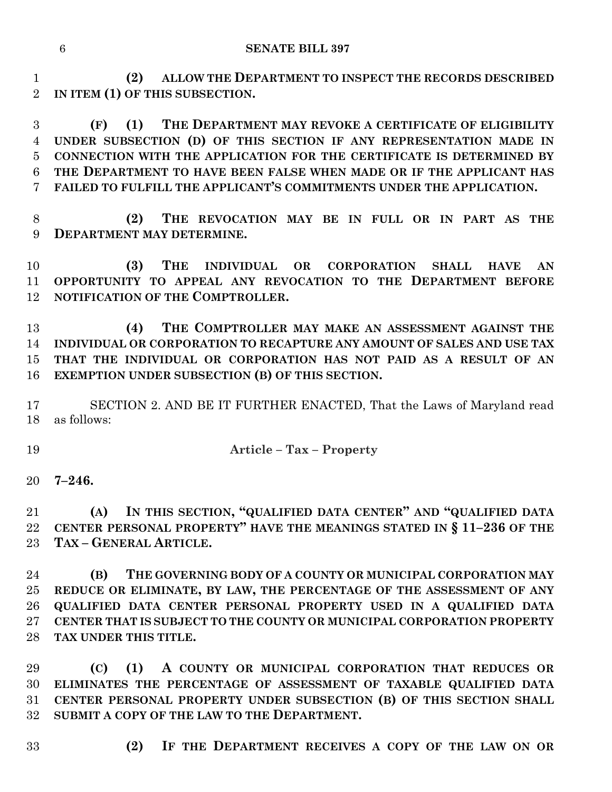**(2) ALLOW THE DEPARTMENT TO INSPECT THE RECORDS DESCRIBED IN ITEM (1) OF THIS SUBSECTION.**

 **(F) (1) THE DEPARTMENT MAY REVOKE A CERTIFICATE OF ELIGIBILITY UNDER SUBSECTION (D) OF THIS SECTION IF ANY REPRESENTATION MADE IN CONNECTION WITH THE APPLICATION FOR THE CERTIFICATE IS DETERMINED BY THE DEPARTMENT TO HAVE BEEN FALSE WHEN MADE OR IF THE APPLICANT HAS FAILED TO FULFILL THE APPLICANT'S COMMITMENTS UNDER THE APPLICATION.**

 **(2) THE REVOCATION MAY BE IN FULL OR IN PART AS THE DEPARTMENT MAY DETERMINE.**

 **(3) THE INDIVIDUAL OR CORPORATION SHALL HAVE AN OPPORTUNITY TO APPEAL ANY REVOCATION TO THE DEPARTMENT BEFORE NOTIFICATION OF THE COMPTROLLER.**

 **(4) THE COMPTROLLER MAY MAKE AN ASSESSMENT AGAINST THE INDIVIDUAL OR CORPORATION TO RECAPTURE ANY AMOUNT OF SALES AND USE TAX THAT THE INDIVIDUAL OR CORPORATION HAS NOT PAID AS A RESULT OF AN EXEMPTION UNDER SUBSECTION (B) OF THIS SECTION.**

 SECTION 2. AND BE IT FURTHER ENACTED, That the Laws of Maryland read as follows:

**Article – Tax – Property**

**7–246.**

 **(A) IN THIS SECTION, "QUALIFIED DATA CENTER" AND "QUALIFIED DATA CENTER PERSONAL PROPERTY" HAVE THE MEANINGS STATED IN § 11–236 OF THE TAX – GENERAL ARTICLE.**

 **(B) THE GOVERNING BODY OF A COUNTY OR MUNICIPAL CORPORATION MAY REDUCE OR ELIMINATE, BY LAW, THE PERCENTAGE OF THE ASSESSMENT OF ANY QUALIFIED DATA CENTER PERSONAL PROPERTY USED IN A QUALIFIED DATA CENTER THAT IS SUBJECT TO THE COUNTY OR MUNICIPAL CORPORATION PROPERTY TAX UNDER THIS TITLE.**

 **(C) (1) A COUNTY OR MUNICIPAL CORPORATION THAT REDUCES OR ELIMINATES THE PERCENTAGE OF ASSESSMENT OF TAXABLE QUALIFIED DATA CENTER PERSONAL PROPERTY UNDER SUBSECTION (B) OF THIS SECTION SHALL SUBMIT A COPY OF THE LAW TO THE DEPARTMENT.**

- 
- **(2) IF THE DEPARTMENT RECEIVES A COPY OF THE LAW ON OR**